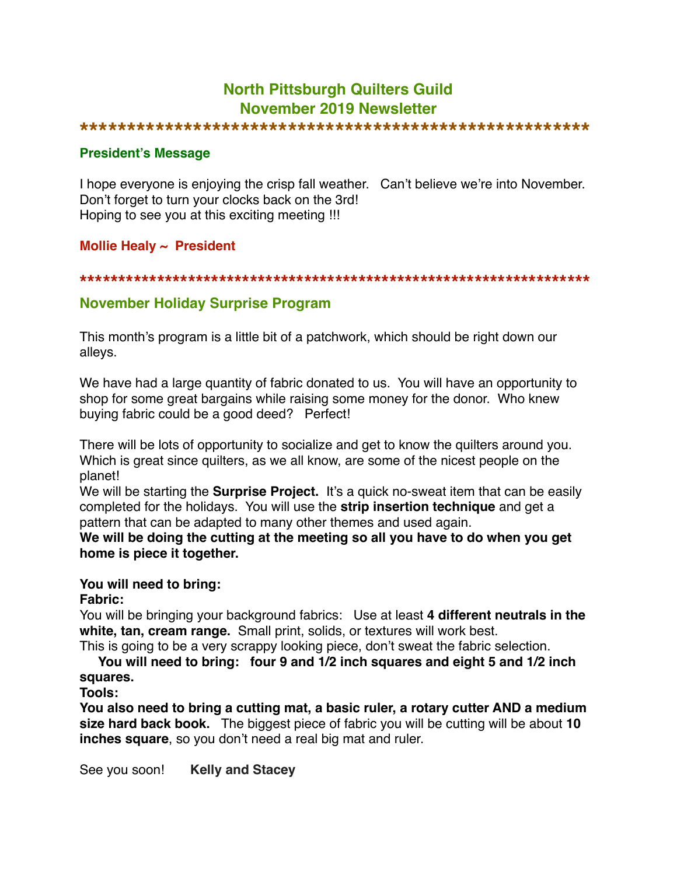# **North Pittsburgh Quilters Guild November 2019 Newsletter**

#### **\*\*\*\*\*\*\*\*\*\*\*\*\*\*\*\*\*\*\*\*\*\*\*\*\*\*\*\*\*\*\*\*\*\*\*\*\*\*\*\*\*\*\*\*\*\*\*\*\*\*\*\*\*\***

#### **President's Message**

I hope everyone is enjoying the crisp fall weather. Can't believe we're into November. Don't forget to turn your clocks back on the 3rd! Hoping to see you at this exciting meeting !!!

## **Mollie Healy ~ President**

#### **\*\*\*\*\*\*\*\*\*\*\*\*\*\*\*\*\*\*\*\*\*\*\*\*\*\*\*\*\*\*\*\*\*\*\*\*\*\*\*\*\*\*\*\*\*\*\*\*\*\*\*\*\*\*\*\*\*\*\*\*\*\*\*\*\*\***

## **November Holiday Surprise Program**

This month's program is a little bit of a patchwork, which should be right down our alleys.

We have had a large quantity of fabric donated to us. You will have an opportunity to shop for some great bargains while raising some money for the donor. Who knew buying fabric could be a good deed? Perfect!

There will be lots of opportunity to socialize and get to know the quilters around you. Which is great since quilters, as we all know, are some of the nicest people on the planet!

We will be starting the **Surprise Project.** It's a quick no-sweat item that can be easily completed for the holidays. You will use the **strip insertion technique** and get a pattern that can be adapted to many other themes and used again.

**We will be doing the cutting at the meeting so all you have to do when you get home is piece it together.**

#### **You will need to bring:**

#### **Fabric:**

You will be bringing your background fabrics: Use at least **4 different neutrals in the white, tan, cream range.** Small print, solids, or textures will work best. This is going to be a very scrappy looking piece, don't sweat the fabric selection.

 **You will need to bring: four 9 and 1/2 inch squares and eight 5 and 1/2 inch squares.**

# **Tools:**

**You also need to bring a cutting mat, a basic ruler, a rotary cutter AND a medium size hard back book.** The biggest piece of fabric you will be cutting will be about **10 inches square**, so you don't need a real big mat and ruler.

See you soon! **Kelly and Stacey**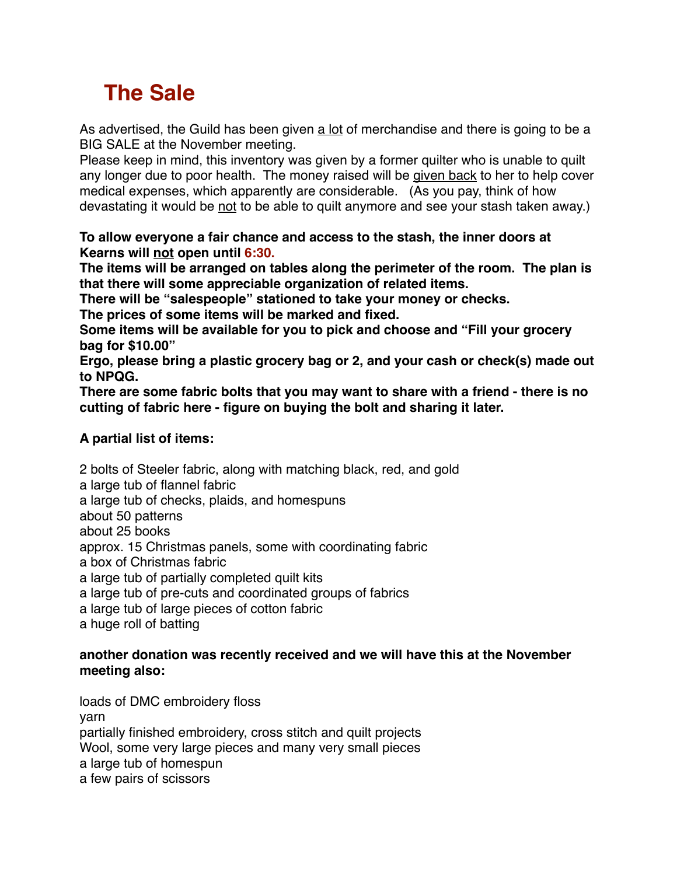# **The Sale**

As advertised, the Guild has been given a lot of merchandise and there is going to be a BIG SALE at the November meeting.

Please keep in mind, this inventory was given by a former quilter who is unable to quilt any longer due to poor health. The money raised will be given back to her to help cover medical expenses, which apparently are considerable. (As you pay, think of how devastating it would be not to be able to quilt anymore and see your stash taken away.)

**To allow everyone a fair chance and access to the stash, the inner doors at Kearns will not open until 6:30.**

**The items will be arranged on tables along the perimeter of the room. The plan is that there will some appreciable organization of related items.**

**There will be "salespeople" stationed to take your money or checks.**

**The prices of some items will be marked and fixed.**

**Some items will be available for you to pick and choose and "Fill your grocery bag for \$10.00"**

**Ergo, please bring a plastic grocery bag or 2, and your cash or check(s) made out to NPQG.**

**There are some fabric bolts that you may want to share with a friend - there is no cutting of fabric here - figure on buying the bolt and sharing it later.**

# **A partial list of items:**

2 bolts of Steeler fabric, along with matching black, red, and gold a large tub of flannel fabric a large tub of checks, plaids, and homespuns about 50 patterns about 25 books approx. 15 Christmas panels, some with coordinating fabric a box of Christmas fabric a large tub of partially completed quilt kits a large tub of pre-cuts and coordinated groups of fabrics a large tub of large pieces of cotton fabric a huge roll of batting

## **another donation was recently received and we will have this at the November meeting also:**

loads of DMC embroidery floss yarn partially finished embroidery, cross stitch and quilt projects Wool, some very large pieces and many very small pieces a large tub of homespun a few pairs of scissors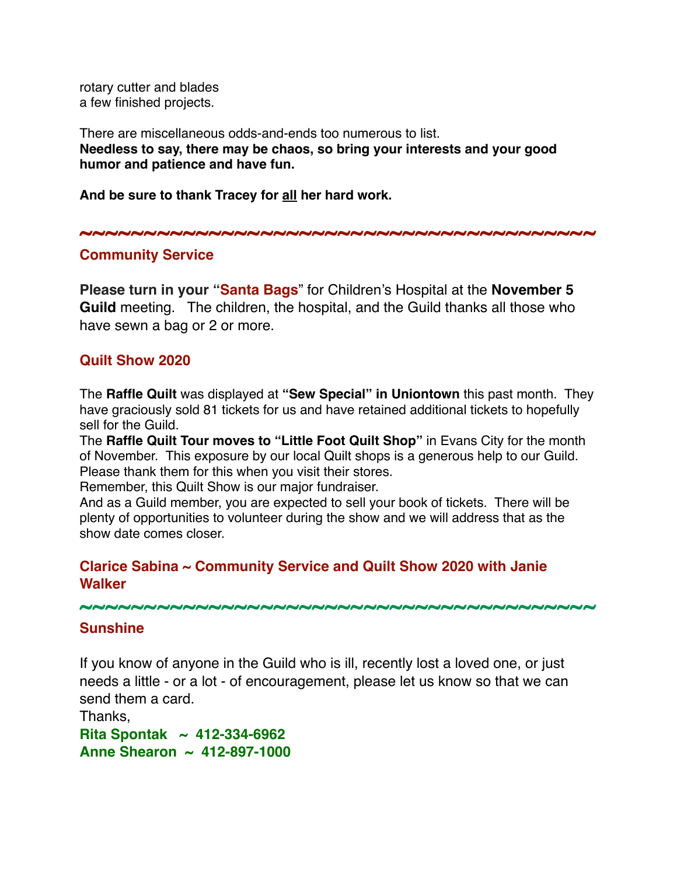rotary cutter and blades a few finished projects.

There are miscellaneous odds-and-ends too numerous to list. **Needless to say, there may be chaos, so bring your interests and your good humor and patience and have fun.**

**And be sure to thank Tracey for all her hard work.**

**~~~~~~~~~~~~~~~~~~~~~~~~~~~~~~~~~~~~~~~~**

## **Community Service**

**Please turn in your "Santa Bags**" for Children's Hospital at the **November 5 Guild** meeting. The children, the hospital, and the Guild thanks all those who have sewn a bag or 2 or more.

# **Quilt Show 2020**

The **Raffle Quilt** was displayed at **"Sew Special" in Uniontown** this past month. They have graciously sold 81 tickets for us and have retained additional tickets to hopefully sell for the Guild.

The **Raffle Quilt Tour moves to "Little Foot Quilt Shop"** in Evans City for the month of November. This exposure by our local Quilt shops is a generous help to our Guild. Please thank them for this when you visit their stores.

Remember, this Quilt Show is our major fundraiser.

And as a Guild member, you are expected to sell your book of tickets. There will be plenty of opportunities to volunteer during the show and we will address that as the show date comes closer.

# **Clarice Sabina ~ Community Service and Quilt Show 2020 with Janie Walker**

#### **~~~~~~~~~~~~~~~~~~~~~~~~~~~~~~~~~~~~~~~~**

## **Sunshine**

If you know of anyone in the Guild who is ill, recently lost a loved one, or just needs a little - or a lot - of encouragement, please let us know so that we can send them a card.

Thanks, **Rita Spontak ~ 412-334-6962 Anne Shearon ~ 412-897-1000**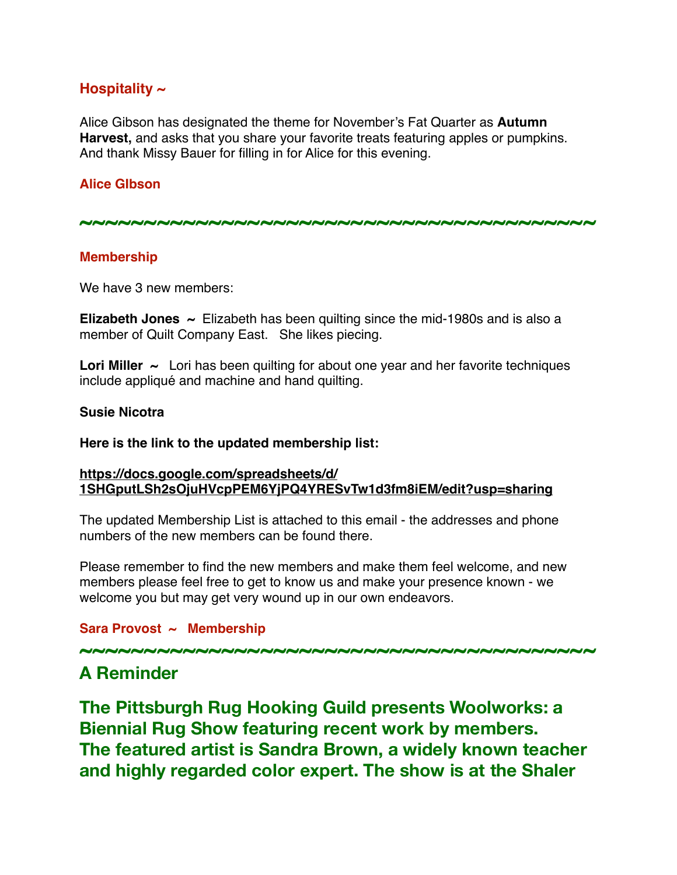# **Hospitality ~**

Alice Gibson has designated the theme for November's Fat Quarter as **Autumn Harvest,** and asks that you share your favorite treats featuring apples or pumpkins. And thank Missy Bauer for filling in for Alice for this evening.

#### **Alice GIbson**

**~~~~~~~~~~~~~~~~~~~~~~~~~~~~~~~~~~~~~~~~**

#### **Membership**

We have 3 new members:

**Elizabeth Jones ~** Elizabeth has been quilting since the mid-1980s and is also a member of Quilt Company East. She likes piecing.

**Lori Miller**  $\sim$  Lori has been quilting for about one year and her favorite techniques include appliqué and machine and hand quilting.

#### **Susie Nicotra**

**Here is the link to the updated membership list:**

#### **[https://docs.google.com/spreadsheets/d/](https://docs.google.com/spreadsheets/d/1SHGputLSh2sOjuHVcpPEM6YjPQ4YRESvTw1d3fm8iEM/edit?usp=sharing) [1SHGputLSh2sOjuHVcpPEM6YjPQ4YRESvTw1d3fm8iEM/edit?usp=sharing](https://docs.google.com/spreadsheets/d/1SHGputLSh2sOjuHVcpPEM6YjPQ4YRESvTw1d3fm8iEM/edit?usp=sharing)**

The updated Membership List is attached to this email - the addresses and phone numbers of the new members can be found there.

Please remember to find the new members and make them feel welcome, and new members please feel free to get to know us and make your presence known - we welcome you but may get very wound up in our own endeavors.

#### **Sara Provost ~ Membership**

**~~~~~~~~~~~~~~~~~~~~~~~~~~~~~~~~~~~~~~~~**

# **A Reminder**

**The Pittsburgh Rug Hooking Guild presents Woolworks: a Biennial Rug Show featuring recent work by members. The featured artist is Sandra Brown, a widely known teacher and highly regarded color expert. The show is at the Shaler**